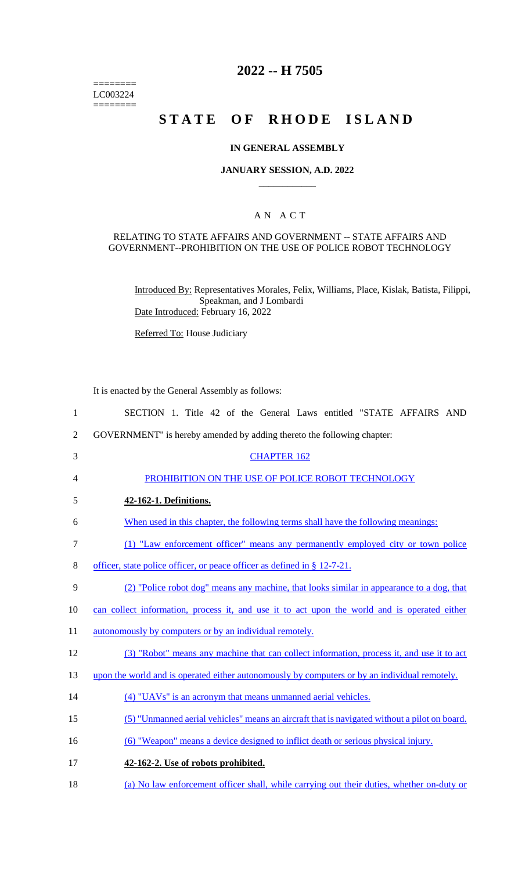$=$ LC003224  $=$ 

## **2022 -- H 7505**

# **STATE OF RHODE ISLAND**

#### **IN GENERAL ASSEMBLY**

#### **JANUARY SESSION, A.D. 2022 \_\_\_\_\_\_\_\_\_\_\_\_**

## A N A C T

#### RELATING TO STATE AFFAIRS AND GOVERNMENT -- STATE AFFAIRS AND GOVERNMENT--PROHIBITION ON THE USE OF POLICE ROBOT TECHNOLOGY

Introduced By: Representatives Morales, Felix, Williams, Place, Kislak, Batista, Filippi, Speakman, and J Lombardi Date Introduced: February 16, 2022

Referred To: House Judiciary

It is enacted by the General Assembly as follows:

| $\mathbf{1}$   | SECTION 1. Title 42 of the General Laws entitled "STATE AFFAIRS AND                           |
|----------------|-----------------------------------------------------------------------------------------------|
| $\overline{2}$ | GOVERNMENT" is hereby amended by adding thereto the following chapter:                        |
| 3              | <b>CHAPTER 162</b>                                                                            |
| 4              | PROHIBITION ON THE USE OF POLICE ROBOT TECHNOLOGY                                             |
| 5              | 42-162-1. Definitions.                                                                        |
| 6              | When used in this chapter, the following terms shall have the following meanings:             |
| $\tau$         | (1) "Law enforcement officer" means any permanently employed city or town police              |
| 8              | officer, state police officer, or peace officer as defined in § 12-7-21.                      |
| 9              | (2) "Police robot dog" means any machine, that looks similar in appearance to a dog, that     |
| 10             | can collect information, process it, and use it to act upon the world and is operated either  |
| 11             | autonomously by computers or by an individual remotely.                                       |
| 12             | (3) "Robot" means any machine that can collect information, process it, and use it to act     |
| 13             | upon the world and is operated either autonomously by computers or by an individual remotely. |
| 14             | (4) "UAVs" is an acronym that means unmanned aerial vehicles.                                 |
| 15             | (5) "Unmanned aerial vehicles" means an aircraft that is navigated without a pilot on board.  |
| 16             | (6) "Weapon" means a device designed to inflict death or serious physical injury.             |
| 17             | 42-162-2. Use of robots prohibited.                                                           |
| 18             | (a) No law enforcement officer shall, while carrying out their duties, whether on-duty or     |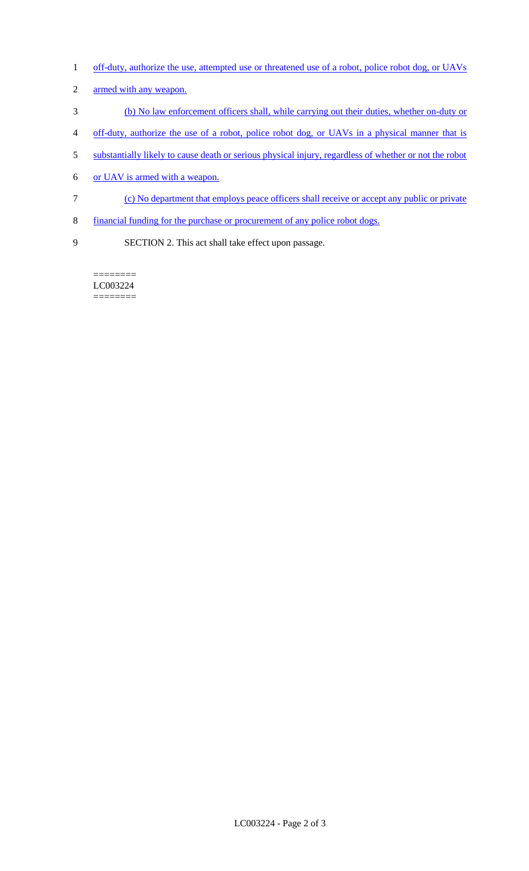- 1 off-duty, authorize the use, attempted use or threatened use of a robot, police robot dog, or UAVs
- armed with any weapon.
- (b) No law enforcement officers shall, while carrying out their duties, whether on-duty or
- off-duty, authorize the use of a robot, police robot dog, or UAVs in a physical manner that is
- substantially likely to cause death or serious physical injury, regardless of whether or not the robot
- or UAV is armed with a weapon.
- (c) No department that employs peace officers shall receive or accept any public or private
- financial funding for the purchase or procurement of any police robot dogs.
- SECTION 2. This act shall take effect upon passage.

======== LC003224 ========